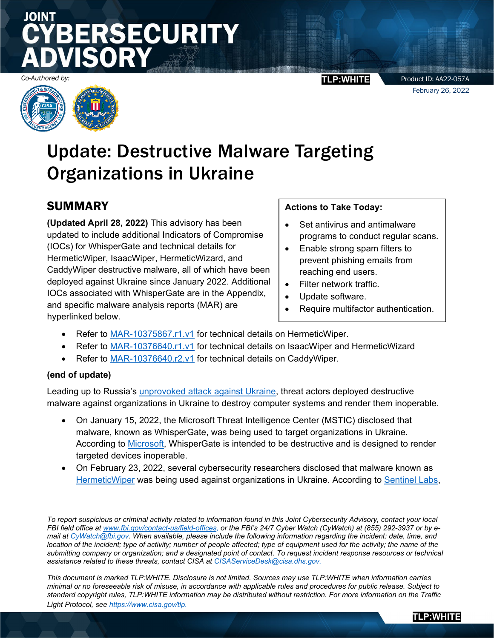# **SECURITY**



#### *Co-Authored by:* **TLP:WHITE**

Product ID: AA22-057A February 26, 2022

**TLP:WHITE** 

# Update: Destructive Malware Targeting Organizations in Ukraine

### **SUMMARY**

**(Updated April 28, 2022)** This advisory has been updated to include additional Indicators of Compromise (IOCs) for WhisperGate and technical details for HermeticWiper, IsaacWiper, HermeticWizard, and CaddyWiper destructive malware, all of which have been deployed against Ukraine since January 2022. Additional IOCs associated with WhisperGate are in the Appendix, and specific malware analysis reports (MAR) are hyperlinked below.

#### **Actions to Take Today:**

- Set antivirus and antimalware programs to conduct regular scans.
- Enable strong spam filters to prevent phishing emails from reaching end users.
- Filter network traffic.
- Update software.
- Require multifactor authentication.
- Refer to [MAR-10375867.r1.v1](https://us-cert.gov/ncas/analysis-reports/ar22-115a) for technical details on HermeticWiper.
- Refer to [MAR-10376640.r1.v1](https://us-cert.gov/ncas/analysis-reports/ar22-115b) for technical details on IsaacWiper and HermeticWizard
- Refer to [MAR-10376640.r2.v1](https://us-cert.gov/ncas/analysis-reports/ar22-115c) for technical details on CaddyWiper.

#### **(end of update)**

Leading up to Russia's [unprovoked attack against Ukraine,](https://www.cisa.gov/shields-up) threat actors deployed destructive malware against organizations in Ukraine to destroy computer systems and render them inoperable.

- On January 15, 2022, the Microsoft Threat Intelligence Center (MSTIC) disclosed that malware, known as WhisperGate, was being used to target organizations in Ukraine. According to [Microsoft,](https://www.microsoft.com/security/blog/2022/01/15/destructive-malware-targeting-ukrainian-organizations/) WhisperGate is intended to be destructive and is designed to render targeted devices inoperable.
- On February 23, 2022, several cybersecurity researchers disclosed that malware known as [HermeticWiper](https://twitter.com/ESETresearch/status/1496581903205511181) was being used against organizations in Ukraine. According to [Sentinel](https://www.sentinelone.com/labs/hermetic-wiper-ukraine-under-attack/) Labs,

*To report suspicious or criminal activity related to information found in this Joint Cybersecurity Advisory, contact your local FBI field office at [www.fbi.gov/contact-us/field-offices,](https://www.fbi.gov/contact-us/field-offices) or the FBI's 24/7 Cyber Watch (CyWatch) at (855) 292-3937 or by email at [CyWatch@fbi.gov.](mailto:CyWatch@fbi.gov) When available, please include the following information regarding the incident: date, time, and location of the incident; type of activity; number of people affected; type of equipment used for the activity; the name of the submitting company or organization; and a designated point of contact. To request incident response resources or technical assistance related to these threats, contact CISA at [CISAServiceDesk@cisa.dhs.gov.](mailto:CISAServiceDesk@cisa.dhs.gov)*

*This document is marked TLP:WHITE. Disclosure is not limited. Sources may use TLP:WHITE when information carries minimal or no foreseeable risk of misuse, in accordance with applicable rules and procedures for public release. Subject to standard copyright rules, TLP:WHITE information may be distributed without restriction. For more information on the Traffic*  Light Protocol, see [https://www.cisa.gov/tlp.](https://www.cisa.gov/tlp)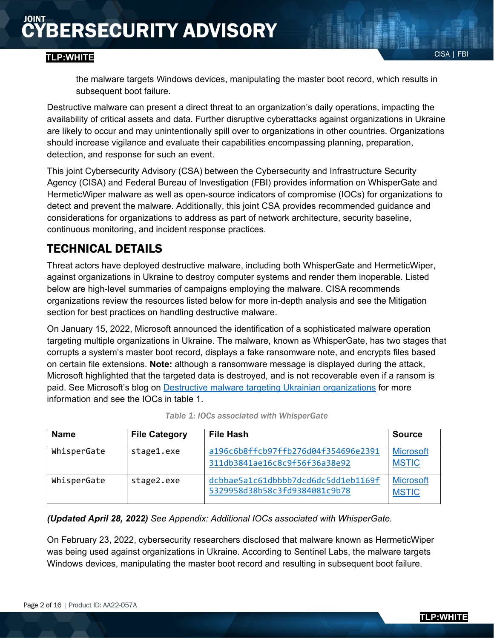#### CISA | FBI **TLP:WHITE**

Destructive malware can present a direct threat to an organization's daily operations, impacting the availability of critical assets and data. Further disruptive cyberattacks against organizations in Ukraine are likely to occur and may unintentionally spill over to organizations in other countries. Organizations should increase vigilance and evaluate their capabilities encompassing planning, preparation, detection, and response for such an event.

This joint Cybersecurity Advisory (CSA) between the Cybersecurity and Infrastructure Security Agency (CISA) and Federal Bureau of Investigation (FBI) provides information on WhisperGate and HermeticWiper malware as well as open-source indicators of compromise (IOCs) for organizations to detect and prevent the malware. Additionally, this joint CSA provides recommended guidance and considerations for organizations to address as part of network architecture, security baseline, continuous monitoring, and incident response practices.

## TECHNICAL DETAILS

Threat actors have deployed destructive malware, including both WhisperGate and HermeticWiper, against organizations in Ukraine to destroy computer systems and render them inoperable. Listed below are high-level summaries of campaigns employing the malware. CISA recommends organizations review the resources listed below for more in-depth analysis and see the Mitigation section for best practices on handling destructive malware.

On January 15, 2022, Microsoft announced the identification of a sophisticated malware operation targeting multiple organizations in Ukraine. The malware, known as WhisperGate, has two stages that corrupts a system's master boot record, displays a fake ransomware note, and encrypts files based on certain file extensions. **Note:** although a ransomware message is displayed during the attack, Microsoft highlighted that the targeted data is destroyed, and is not recoverable even if a ransom is paid. See Microsoft's blog on [Destructive malware targeting Ukrainian organizations](https://www.microsoft.com/security/blog/2022/01/15/destructive-malware-targeting-ukrainian-organizations/) for more information and see the IOCs in table 1.

| <b>Name</b> | <b>File Category</b> | File Hash                                                            | Source                           |
|-------------|----------------------|----------------------------------------------------------------------|----------------------------------|
| WhisperGate | stage1.exe           | a196c6b8ffcb97ffb276d04f354696e2391<br>311db3841ae16c8c9f56f36a38e92 | <b>Microsoft</b><br><b>MSTIC</b> |
| WhisperGate | stage2.exe           | dcbbae5a1c61dbbbb7dcd6dc5dd1eb1169f<br>5329958d38b58c3fd9384081c9b78 | <b>Microsoft</b><br><b>MSTIC</b> |

| Table 1: IOCs associated with WhisperGate |  |  |
|-------------------------------------------|--|--|
|-------------------------------------------|--|--|

*(Updated April 28, 2022) See Appendix: Additional IOCs associated with WhisperGate.*

On February 23, 2022, cybersecurity researchers disclosed that malware known as HermeticWiper was being used against organizations in Ukraine. According to Sentinel Labs, the malware targets Windows devices, manipulating the master boot record and resulting in subsequent boot failure.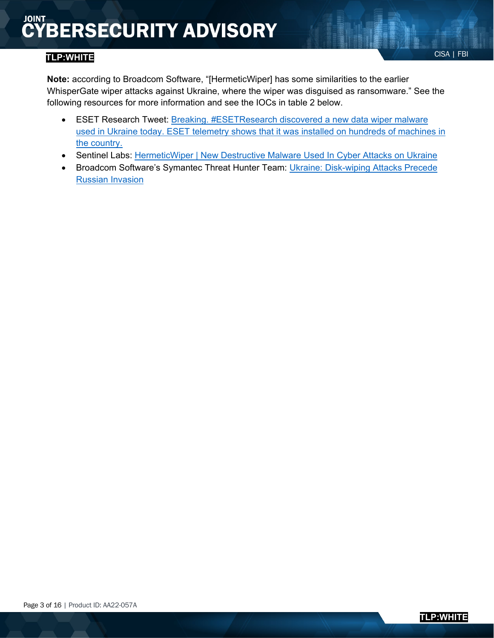- ESET Research Tweet: Breaking. #ESETResearch discovered a new data wiper malware [used in Ukraine today. ESET telemetry shows that it was installed on hundreds of machines in](https://twitter.com/ESETresearch/status/1496581903205511181)  [the country.](https://twitter.com/ESETresearch/status/1496581903205511181)
- Sentinel Labs: [HermeticWiper | New Destructive Malware Used In Cyber Attacks on Ukraine](https://www.sentinelone.com/labs/hermetic-wiper-ukraine-under-attack/)
- Broadcom Software's Symantec Threat Hunter Team: [Ukraine: Disk-wiping Attacks Precede](https://symantec-enterprise-blogs.security.com/blogs/threat-intelligence/ukraine-wiper-malware-russia)  [Russian Invasion](https://symantec-enterprise-blogs.security.com/blogs/threat-intelligence/ukraine-wiper-malware-russia)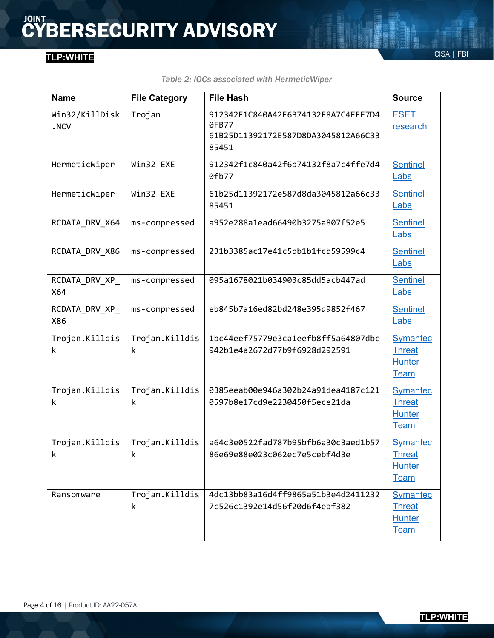| Table 2: IOCs associated with HermeticWiper |  |  |
|---------------------------------------------|--|--|
|---------------------------------------------|--|--|

| <b>Name</b>            | <b>File Category</b> | <b>File Hash</b>                                                                             | <b>Source</b>                                                    |
|------------------------|----------------------|----------------------------------------------------------------------------------------------|------------------------------------------------------------------|
| Win32/KillDisk<br>.NCV | Trojan               | 912342F1C840A42F6B74132F8A7C4FFE7D4<br>0FB77<br>61B25D11392172E587D8DA3045812A66C33<br>85451 | <b>ESET</b><br>research                                          |
| HermeticWiper          | Win32 EXE            | 912342f1c840a42f6b74132f8a7c4ffe7d4<br>0fb77                                                 | <b>Sentinel</b><br>Labs                                          |
| HermeticWiper          | Win32 EXE            | 61b25d11392172e587d8da3045812a66c33<br>85451                                                 | <b>Sentinel</b><br>Labs                                          |
| RCDATA DRV_X64         | ms-compressed        | a952e288a1ead66490b3275a807f52e5                                                             | <b>Sentinel</b><br>Labs                                          |
| RCDATA DRV X86         | ms-compressed        | 231b3385ac17e41c5bb1b1fcb59599c4                                                             | <b>Sentinel</b><br>Labs                                          |
| RCDATA_DRV_XP_<br>X64  | ms-compressed        | 095a1678021b034903c85dd5acb447ad                                                             | <b>Sentinel</b><br>Labs                                          |
| RCDATA_DRV_XP_<br>X86  | ms-compressed        | eb845b7a16ed82bd248e395d9852f467                                                             | <b>Sentinel</b><br>Labs                                          |
| Trojan.Killdis<br>k    | Trojan.Killdis<br>k  | 1bc44eef75779e3ca1eefb8ff5a64807dbc<br>942b1e4a2672d77b9f6928d292591                         | <b>Symantec</b><br><b>Threat</b><br><b>Hunter</b><br><b>Team</b> |
| Trojan.Killdis<br>k    | Trojan.Killdis<br>k  | 0385eeab00e946a302b24a91dea4187c121<br>0597b8e17cd9e2230450f5ece21da                         | <b>Symantec</b><br><b>Threat</b><br><b>Hunter</b><br><b>Team</b> |
| Trojan.Killdis<br>k    | Trojan.Killdis<br>k  | a64c3e0522fad787b95bfb6a30c3aed1b57<br>86e69e88e023c062ec7e5cebf4d3e                         | <b>Symantec</b><br><b>Threat</b><br><b>Hunter</b><br><b>Team</b> |
| Ransomware             | Trojan.Killdis<br>k  | 4dc13bb83a16d4ff9865a51b3e4d2411232<br>7c526c1392e14d56f20d6f4eaf382                         | <b>Symantec</b><br><b>Threat</b><br><b>Hunter</b><br><b>Team</b> |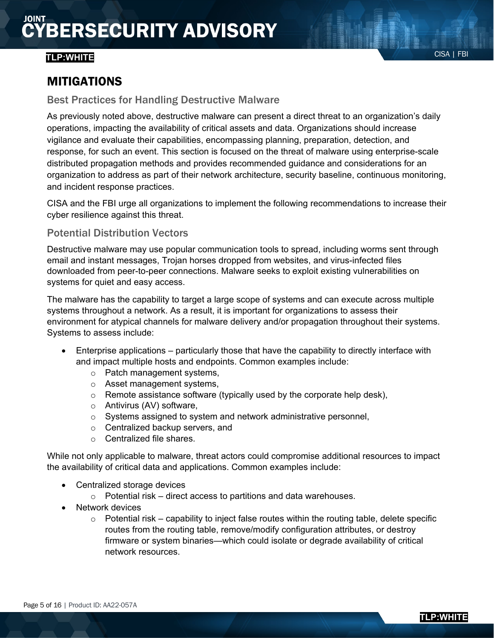#### CISA | FBI **TLP:WHITE**

#### MITIGATIONS

#### Best Practices for Handling Destructive Malware

As previously noted above, destructive malware can present a direct threat to an organization's daily operations, impacting the availability of critical assets and data. Organizations should increase vigilance and evaluate their capabilities, encompassing planning, preparation, detection, and response, for such an event. This section is focused on the threat of malware using enterprise-scale distributed propagation methods and provides recommended guidance and considerations for an organization to address as part of their network architecture, security baseline, continuous monitoring, and incident response practices.

CISA and the FBI urge all organizations to implement the following recommendations to increase their cyber resilience against this threat.

#### Potential Distribution Vectors

Destructive malware may use popular communication tools to spread, including worms sent through email and instant messages, Trojan horses dropped from websites, and virus-infected files downloaded from peer-to-peer connections. Malware seeks to exploit existing vulnerabilities on systems for quiet and easy access.

The malware has the capability to target a large scope of systems and can execute across multiple systems throughout a network. As a result, it is important for organizations to assess their environment for atypical channels for malware delivery and/or propagation throughout their systems. Systems to assess include:

- Enterprise applications particularly those that have the capability to directly interface with and impact multiple hosts and endpoints. Common examples include:
	- o Patch management systems,
	- o Asset management systems,
	- $\circ$  Remote assistance software (typically used by the corporate help desk),
	- o Antivirus (AV) software,
	- o Systems assigned to system and network administrative personnel,
	- o Centralized backup servers, and
	- o Centralized file shares.

While not only applicable to malware, threat actors could compromise additional resources to impact the availability of critical data and applications. Common examples include:

- Centralized storage devices
	- $\circ$  Potential risk direct access to partitions and data warehouses.
- Network devices
	- $\circ$  Potential risk capability to inject false routes within the routing table, delete specific routes from the routing table, remove/modify configuration attributes, or destroy firmware or system binaries—which could isolate or degrade availability of critical network resources.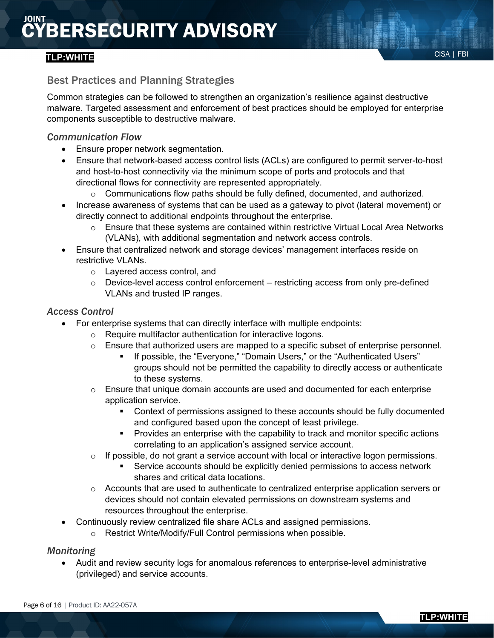#### CISA | FBI **TLP:WHITE**

#### Best Practices and Planning Strategies

Common strategies can be followed to strengthen an organization's resilience against destructive malware. Targeted assessment and enforcement of best practices should be employed for enterprise components susceptible to destructive malware.

#### *Communication Flow*

- Ensure proper network segmentation.
- Ensure that network-based access control lists (ACLs) are configured to permit server-to-host and host-to-host connectivity via the minimum scope of ports and protocols and that directional flows for connectivity are represented appropriately.
	- $\circ$  Communications flow paths should be fully defined, documented, and authorized.
- Increase awareness of systems that can be used as a gateway to pivot (lateral movement) or directly connect to additional endpoints throughout the enterprise.
	- $\circ$  Ensure that these systems are contained within restrictive Virtual Local Area Networks (VLANs), with additional segmentation and network access controls.
- Ensure that centralized network and storage devices' management interfaces reside on restrictive VLANs.
	- o Layered access control, and
	- $\circ$  Device-level access control enforcement restricting access from only pre-defined VLANs and trusted IP ranges.

#### *Access Control*

- For enterprise systems that can directly interface with multiple endpoints:
	- o Require multifactor authentication for interactive logons.
	- $\circ$  Ensure that authorized users are mapped to a specific subset of enterprise personnel.
		- If possible, the "Everyone," "Domain Users," or the "Authenticated Users" groups should not be permitted the capability to directly access or authenticate to these systems.
	- o Ensure that unique domain accounts are used and documented for each enterprise application service.
		- Context of permissions assigned to these accounts should be fully documented and configured based upon the concept of least privilege.
		- **Provides an enterprise with the capability to track and monitor specific actions** correlating to an application's assigned service account.
	- $\circ$  If possible, do not grant a service account with local or interactive logon permissions.
		- Service accounts should be explicitly denied permissions to access network shares and critical data locations.
	- $\circ$  Accounts that are used to authenticate to centralized enterprise application servers or devices should not contain elevated permissions on downstream systems and resources throughout the enterprise.
- Continuously review centralized file share ACLs and assigned permissions.
	- o Restrict Write/Modify/Full Control permissions when possible.

#### *Monitoring*

• Audit and review security logs for anomalous references to enterprise-level administrative (privileged) and service accounts.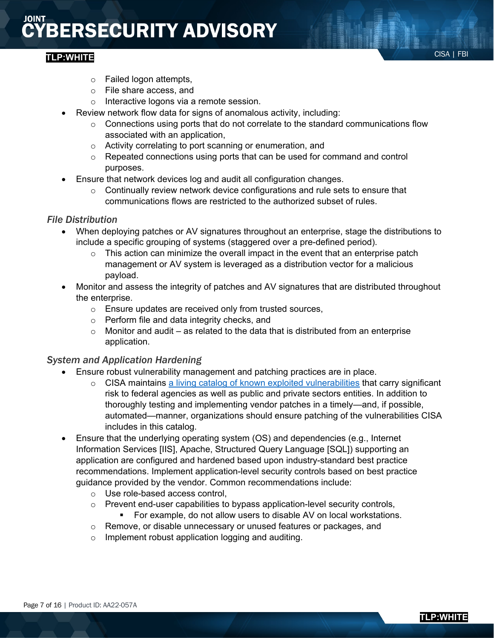#### CISA | FBI **TLP:WHITE**

- o Failed logon attempts,
- o File share access, and
- o Interactive logons via a remote session.
- Review network flow data for signs of anomalous activity, including:
	- o Connections using ports that do not correlate to the standard communications flow associated with an application,
	- o Activity correlating to port scanning or enumeration, and
	- $\circ$  Repeated connections using ports that can be used for command and control purposes.
- Ensure that network devices log and audit all configuration changes.
	- $\circ$  Continually review network device configurations and rule sets to ensure that communications flows are restricted to the authorized subset of rules.

#### *File Distribution*

- When deploying patches or AV signatures throughout an enterprise, stage the distributions to include a specific grouping of systems (staggered over a pre-defined period).
	- $\circ$  This action can minimize the overall impact in the event that an enterprise patch management or AV system is leveraged as a distribution vector for a malicious payload.
- Monitor and assess the integrity of patches and AV signatures that are distributed throughout the enterprise.
	- o Ensure updates are received only from trusted sources,
	- o Perform file and data integrity checks, and
	- $\circ$  Monitor and audit as related to the data that is distributed from an enterprise application.

#### *System and Application Hardening*

- Ensure robust vulnerability management and patching practices are in place.
	- o CISA maintains [a living catalog of known exploited vulnerabilities](https://cisa.gov/known-exploited-vulnerabilities) that carry significant risk to federal agencies as well as public and private sectors entities. In addition to thoroughly testing and implementing vendor patches in a timely—and, if possible, automated—manner, organizations should ensure patching of the vulnerabilities CISA includes in this catalog.
- Ensure that the underlying operating system (OS) and dependencies (e.g., Internet Information Services [IIS], Apache, Structured Query Language [SQL]) supporting an application are configured and hardened based upon industry-standard best practice recommendations. Implement application-level security controls based on best practice guidance provided by the vendor. Common recommendations include:
	- o Use role-based access control,
	- o Prevent end-user capabilities to bypass application-level security controls,<br>For example, do not allow users to disable AV on local workstations For example, do not allow users to disable AV on local workstations.
	- o Remove, or disable unnecessary or unused features or packages, and
	- o Implement robust application logging and auditing.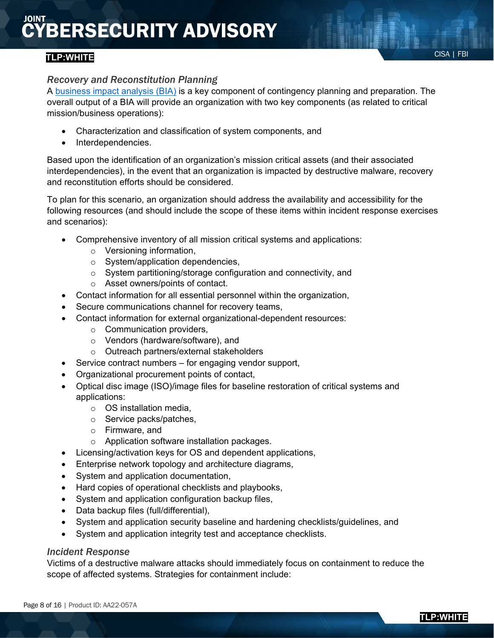#### CISA | FBI **TLP:WHITE**

#### *Recovery and Reconstitution Planning*

A [business impact analysis \(BIA\)](https://www.ready.gov/business-impact-analysis) is a key component of contingency planning and preparation. The overall output of a BIA will provide an organization with two key components (as related to critical mission/business operations):

- Characterization and classification of system components, and
- Interdependencies.

Based upon the identification of an organization's mission critical assets (and their associated interdependencies), in the event that an organization is impacted by destructive malware, recovery and reconstitution efforts should be considered.

To plan for this scenario, an organization should address the availability and accessibility for the following resources (and should include the scope of these items within incident response exercises and scenarios):

- Comprehensive inventory of all mission critical systems and applications:
	- o Versioning information,
	- o System/application dependencies,
	- o System partitioning/storage configuration and connectivity, and
	- o Asset owners/points of contact.
- Contact information for all essential personnel within the organization,
- Secure communications channel for recovery teams,
- Contact information for external organizational-dependent resources:
	- $\circ$  Communication providers.
	- o Vendors (hardware/software), and
	- o Outreach partners/external stakeholders
- Service contract numbers for engaging vendor support,
- Organizational procurement points of contact,
- Optical disc image (ISO)/image files for baseline restoration of critical systems and applications:
	- $\circ$  OS installation media,
	- o Service packs/patches,
	- o Firmware, and
	- o Application software installation packages.
- Licensing/activation keys for OS and dependent applications,
- Enterprise network topology and architecture diagrams,
- System and application documentation,
- Hard copies of operational checklists and playbooks,
- System and application configuration backup files,
- Data backup files (full/differential),
- System and application security baseline and hardening checklists/guidelines, and
- System and application integrity test and acceptance checklists.

#### *Incident Response*

Victims of a destructive malware attacks should immediately focus on containment to reduce the scope of affected systems. Strategies for containment include:

**TLP:WHITE**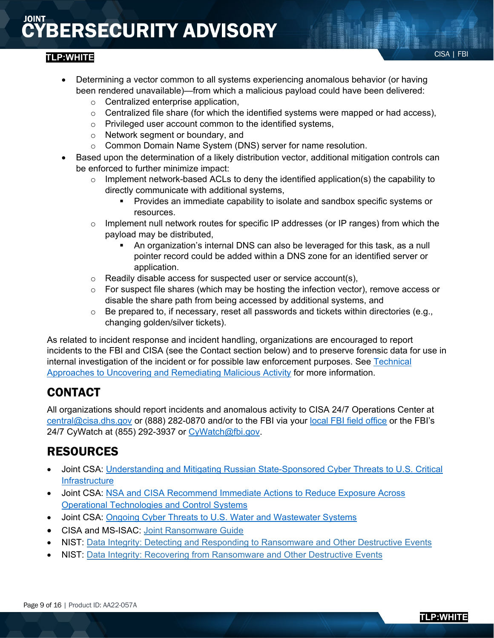#### CISA | FBI **TLP:WHITE**

- o Centralized enterprise application,
- o Centralized file share (for which the identified systems were mapped or had access),
- o Privileged user account common to the identified systems,
- o Network segment or boundary, and
- o Common Domain Name System (DNS) server for name resolution.
- Based upon the determination of a likely distribution vector, additional mitigation controls can be enforced to further minimize impact:
	- $\circ$  Implement network-based ACLs to deny the identified application(s) the capability to directly communicate with additional systems,
		- Provides an immediate capability to isolate and sandbox specific systems or resources.
	- $\circ$  Implement null network routes for specific IP addresses (or IP ranges) from which the payload may be distributed,
		- An organization's internal DNS can also be leveraged for this task, as a null pointer record could be added within a DNS zone for an identified server or application.
	- o Readily disable access for suspected user or service account(s),
	- $\circ$  For suspect file shares (which may be hosting the infection vector), remove access or disable the share path from being accessed by additional systems, and
	- $\circ$  Be prepared to, if necessary, reset all passwords and tickets within directories (e.g., changing golden/silver tickets).

As related to incident response and incident handling, organizations are encouraged to report incidents to the FBI and CISA (see the Contact section below) and to preserve forensic data for use in internal investigation of the incident or for possible law enforcement purposes. See [Technical](https://www.cisa.gov/uscert/ncas/alerts/aa20-245a)  [Approaches to Uncovering and Remediating Malicious Activity](https://www.cisa.gov/uscert/ncas/alerts/aa20-245a) for more information.

### CONTACT

All organizations should report incidents and anomalous activity to CISA 24/7 Operations Center at [central@cisa.dhs.gov](mailto:central@cisa.dhs.gov) or (888) 282-0870 and/or to the FBI via your [local FBI field office](https://www.fbi.gov/contact-us/field-offices) or the FBI's 24/7 CyWatch at (855) 292-3937 or [CyWatch@fbi.gov.](mailto:CyWatch@fbi.gov)

### RESOURCES

- Joint CSA: Understanding and Mitigating Russian State-Sponsored Cyber Threats to U.S. Critical **[Infrastructure](https://www.cisa.gov/uscert/ncas/alerts/aa22-011a)**
- Joint CSA: [NSA and CISA Recommend Immediate Actions to Reduce Exposure Across](https://www.cisa.gov/uscert/ncas/alerts/aa20-205a)  [Operational Technologies and Control Systems](https://www.cisa.gov/uscert/ncas/alerts/aa20-205a)
- Joint CSA: [Ongoing Cyber Threats to U.S. Water and Wastewater Systems](https://www.cisa.gov/uscert/ncas/alerts/aa21-287a)
- CISA and MS-ISAC: [Joint Ransomware Guide](https://www.cisa.gov/sites/default/files/publications/CISA_MS-ISAC_Ransomware%20Guide_S508C.pdf)
- NIST: [Data Integrity: Detecting and Responding to](https://www.nccoe.nist.gov/projects/building-blocks/data-integrity/detect-respond) Ransomware and Other Destructive Events
- NIST: [Data Integrity: Recovering from Ransomware and Other Destructive Events](https://www.nccoe.nist.gov/projects/building-blocks/data-integrity/recover)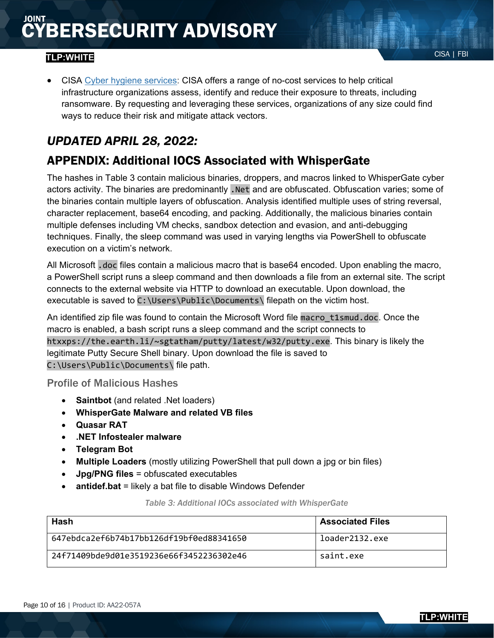#### CISA | FBI **TLP:WHITE**

• CISA [Cyber hygiene services:](https://www.cisa.gov/cyber-hygiene-services) CISA offers a range of no-cost services to help critical infrastructure organizations assess, identify and reduce their exposure to threats, including ransomware. By requesting and leveraging these services, organizations of any size could find ways to reduce their risk and mitigate attack vectors.

### *UPDATED APRIL 28, 2022:*

### APPENDIX: Additional IOCS Associated with WhisperGate

The hashes in Table 3 contain malicious binaries, droppers, and macros linked to WhisperGate cyber actors activity. The binaries are predominantly .Net and are obfuscated. Obfuscation varies; some of the binaries contain multiple layers of obfuscation. Analysis identified multiple uses of string reversal, character replacement, base64 encoding, and packing. Additionally, the malicious binaries contain multiple defenses including VM checks, sandbox detection and evasion, and anti-debugging techniques. Finally, the sleep command was used in varying lengths via PowerShell to obfuscate execution on a victim's network.

All Microsoft .doc files contain a malicious macro that is base64 encoded. Upon enabling the macro, a PowerShell script runs a sleep command and then downloads a file from an external site. The script connects to the external website via HTTP to download an executable. Upon download, the executable is saved to C:\Users\Public\Documents\ filepath on the victim host.

An identified zip file was found to contain the Microsoft Word file macro\_t1smud.doc. Once the macro is enabled, a bash script runs a sleep command and the script connects to htxxps://the.earth.li/~sgtatham/putty/latest/w32/putty.exe. This binary is likely the legitimate Putty Secure Shell binary. Upon download the file is saved to C:\Users\Public\Documents\ file path.

#### Profile of Malicious Hashes

- **Saintbot** (and related .Net loaders)
- **WhisperGate Malware and related VB files**
- **Quasar RAT**
- **.NET Infostealer malware**
- **Telegram Bot**
- **Multiple Loaders** (mostly utilizing PowerShell that pull down a jpg or bin files)
- **Jpg/PNG files** = obfuscated executables
- **antidef.bat** = likely a bat file to disable Windows Defender

*Table 3: Additional IOCs associated with WhisperGate*

| Hash                                     | <b>Associated Files</b> |
|------------------------------------------|-------------------------|
| 647ebdca2ef6b74b17bb126df19bf0ed88341650 | loader2132.exe          |
| 24f71409hde9d01e3519236e66f3452236302e46 | saint.exe               |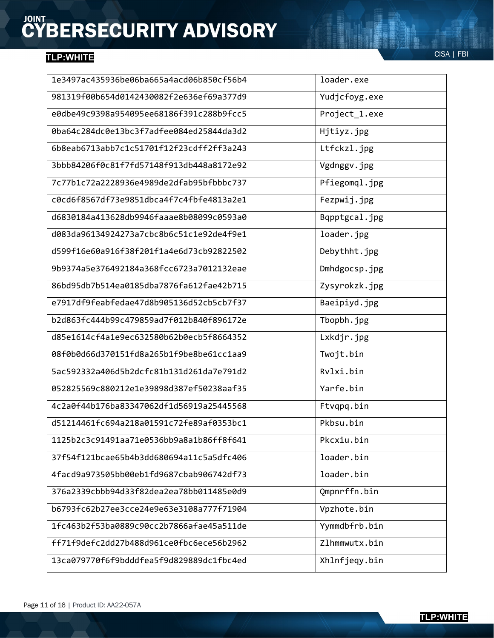| 1e3497ac435936be06ba665a4acd06b850cf56b4 | loader.exe    |
|------------------------------------------|---------------|
| 981319f00b654d0142430082f2e636ef69a377d9 | Yudjcfoyg.exe |
| e0dbe49c9398a954095ee68186f391c288b9fcc5 | Project_1.exe |
| 0ba64c284dc0e13bc3f7adfee084ed25844da3d2 | Hjtiyz.jpg    |
| 6b8eab6713abb7c1c51701f12f23cdff2ff3a243 | Ltfckzl.jpg   |
| 3bbb84206f0c81f7fd57148f913db448a8172e92 | Vgdnggv.jpg   |
| 7c77b1c72a2228936e4989de2dfab95bfbbbc737 | Pfiegomql.jpg |
| c0cd6f8567df73e9851dbca4f7c4fbfe4813a2e1 | Fezpwij.jpg   |
| d6830184a413628db9946faaae8b08099c0593a0 | Bqpptgcal.jpg |
| d083da96134924273a7cbc8b6c51c1e92de4f9e1 | loader.jpg    |
| d599f16e60a916f38f201f1a4e6d73cb92822502 | Debythht.jpg  |
| 9b9374a5e376492184a368fcc6723a7012132eae | Dmhdgocsp.jpg |
| 86bd95db7b514ea0185dba7876fa612fae42b715 | Zysyrokzk.jpg |
| e7917df9feabfedae47d8b905136d52cb5cb7f37 | Baeipiyd.jpg  |
| b2d863fc444b99c479859ad7f012b840f896172e | Tbopbh.jpg    |
| d85e1614cf4a1e9ec632580b62b0ecb5f8664352 | Lxkdjr.jpg    |
| 08f0b0d66d370151fd8a265b1f9be8be61cc1aa9 | Twojt.bin     |
| 5ac592332a406d5b2dcfc81b131d261da7e791d2 | Rv1xi.bin     |
| 052825569c880212e1e39898d387ef50238aaf35 | Yarfe.bin     |
| 4c2a0f44b176ba83347062df1d56919a25445568 | Ftvqpq.bin    |
| d51214461fc694a218a01591c72fe89af0353bc1 | Pkbsu.bin     |
| 1125b2c3c91491aa71e0536bb9a8a1b86ff8f641 | Pkcxiu.bin    |
| 37f54f121bcae65b4b3dd680694a11c5a5dfc406 | loader.bin    |
| 4facd9a973505bb00eb1fd9687cbab906742df73 | loader.bin    |
| 376a2339cbbb94d33f82dea2ea78bb011485e0d9 | Qmpnrffn.bin  |
| b6793fc62b27ee3cce24e9e63e3108a777f71904 | Vpzhote.bin   |
| 1fc463b2f53ba0889c90cc2b7866afae45a511de | Yymmdbfrb.bin |
| ff71f9defc2dd27b488d961ce0fbc6ece56b2962 | Zlhmmwutx.bin |
| 13ca079770f6f9bdddfea5f9d829889dc1fbc4ed | Xhlnfjeqy.bin |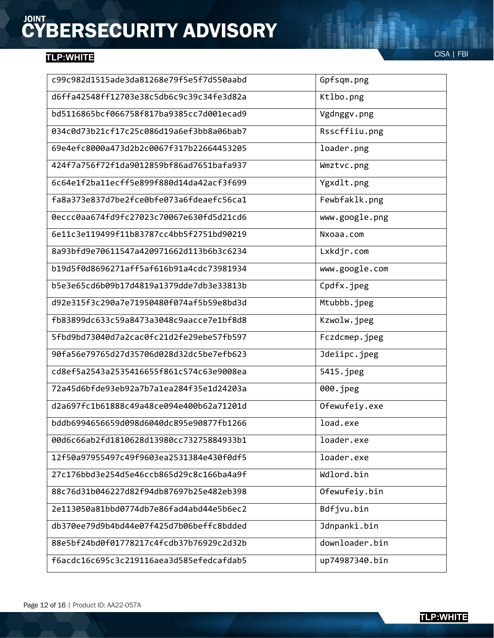| c99c982d1515ade3da81268e79f5e5f7d550aabd | Gpfsqm.png     |
|------------------------------------------|----------------|
| d6ffa42548ff12703e38c5db6c9c39c34fe3d82a | Ktlbo.png      |
| bd5116865bcf066758f817ba9385cc7d001ecad9 | Vgdnggv.png    |
| 034c0d73b21cf17c25c086d19a6ef3bb8a06bab7 | Rsscffiiu.png  |
| 69e4efc8000a473d2b2c0067f317b22664453205 | loader.png     |
| 424f7a756f72f1da9012859bf86ad7651bafa937 | Wmztvc.png     |
| 6c64e1f2ba11ecff5e899f880d14da42acf3f699 | Ygxdlt.png     |
| fa8a373e837d7be2fce0bfe073a6fdeaefc56ca1 | Fewbfaklk.png  |
| 0eccc0aa674fd9fc27023c70067e630fd5d21cd6 | www.google.png |
| 6e11c3e119499f11b83787cc4bb5f2751bd90219 | Nxoaa.com      |
| 8a93bfd9e70611547a420971662d113b6b3c6234 | Lxkdjr.com     |
| b19d5f0d8696271aff5af616b91a4cdc73981934 | www.google.com |
| b5e3e65cd6b09b17d4819a1379dde7db3e33813b | Cpdfx.jpeg     |
| d92e315f3c290a7e71950480f074af5b59e8bd3d | Mtubbb.jpeg    |
| fb83899dc633c59a8473a3048c9aacce7e1bf8d8 | Kzwolw.jpeg    |
| 5fbd9bd73040d7a2cac0fc21d2fe29ebe57fb597 | Fczdcmep.jpeg  |
| 90fa56e79765d27d35706d028d32dc5be7efb623 | Jdeiipc.jpeg   |
| cd8ef5a2543a2535416655f861c574c63e9008ea | 5415.jpeg      |
| 72a45d6bfde93eb92a7b7a1ea284f35e1d24203a | 000.jpeg       |
| d2a697fc1b61888c49a48ce094e400b62a71201d | Ofewufeiy.exe  |
| bddb6994656659d098d6040dc895e90877fb1266 | load.exe       |
| 00d6c66ab2fd1810628d13980cc73275884933b1 | loader.exe     |
| 12f50a97955497c49f9603ea2531384e430f0df5 | loader.exe     |
| 27c176bbd3e254d5e46ccb865d29c8c166ba4a9f | Wdlord.bin     |
| 88c76d31b046227d82f94db87697b25e482eb398 | Ofewufeiy.bin  |
| 2e113050a81bbd0774db7e86fad4abd44e5b6ec2 | Bdfjvu.bin     |
| db370ee79d9b4bd44e07f425d7b06beffc8bdded | Jdnpanki.bin   |
| 88e5bf24bd0f01778217c4fcdb37b76929c2d32b | downloader.bin |
| f6acdc16c695c3c219116aea3d585efedcafdab5 | up74987340.bin |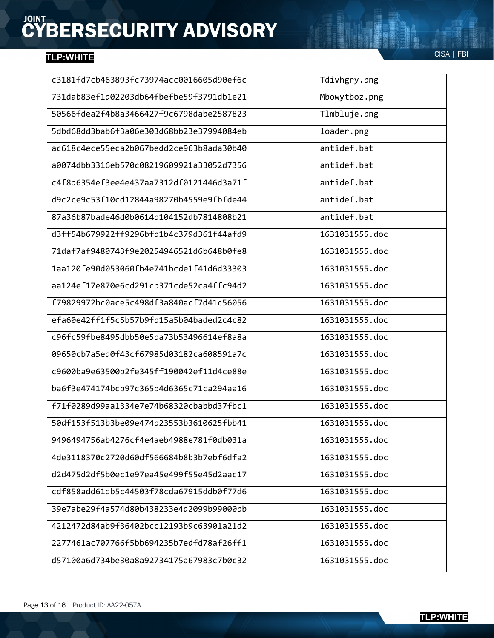| c3181fd7cb463893fc73974acc0016605d90ef6c | Tdivhgry.png   |
|------------------------------------------|----------------|
| 731dab83ef1d02203db64fbefbe59f3791db1e21 | Mbowytboz.png  |
| 50566fdea2f4b8a3466427f9c6798dabe2587823 | Tlmbluje.png   |
| 5dbd68dd3bab6f3a06e303d68bb23e37994084eb | loader.png     |
| ac618c4ece55eca2b067bedd2ce963b8ada30b40 | antidef.bat    |
| a0074dbb3316eb570c08219609921a33052d7356 | antidef.bat    |
| c4f8d6354ef3ee4e437aa7312df0121446d3a71f | antidef.bat    |
| d9c2ce9c53f10cd12844a98270b4559e9fbfde44 | antidef.bat    |
| 87a36b87bade46d0b0614b104152db7814808b21 | antidef.bat    |
| d3ff54b679922ff9296bfb1b4c379d361f44afd9 | 1631031555.doc |
| 71daf7af9480743f9e20254946521d6b648b0fe8 | 1631031555.doc |
| 1aa120fe90d053060fb4e741bcde1f41d6d33303 | 1631031555.doc |
| aa124ef17e870e6cd291cb371cde52ca4ffc94d2 | 1631031555.doc |
| f79829972bc0ace5c498df3a840acf7d41c56056 | 1631031555.doc |
| efa60e42ff1f5c5b57b9fb15a5b04baded2c4c82 | 1631031555.doc |
| c96fc59fbe8495dbb50e5ba73b53496614ef8a8a | 1631031555.doc |
| 09650cb7a5ed0f43cf67985d03182ca608591a7c | 1631031555.doc |
| c9600ba9e63500b2fe345ff190042ef11d4ce88e | 1631031555.doc |
| ba6f3e474174bcb97c365b4d6365c71ca294aa16 | 1631031555.doc |
| f71f0289d99aa1334e7e74b68320cbabbd37fbc1 | 1631031555.doc |
| 50df153f513b3be09e474b23553b3610625fbb41 | 1631031555.doc |
| 9496494756ab4276cf4e4aeb4988e781f0db031a | 1631031555.doc |
| 4de3118370c2720d60df566684b8b3b7ebf6dfa2 | 1631031555.doc |
| d2d475d2df5b0ec1e97ea45e499f55e45d2aac17 | 1631031555.doc |
| cdf858add61db5c44503f78cda67915ddb0f77d6 | 1631031555.doc |
| 39e7abe29f4a574d80b438233e4d2099b99000bb | 1631031555.doc |
| 4212472d84ab9f36402bcc12193b9c63901a21d2 | 1631031555.doc |
| 2277461ac707766f5bb694235b7edfd78af26ff1 | 1631031555.doc |
| d57100a6d734be30a8a92734175a67983c7b0c32 | 1631031555.doc |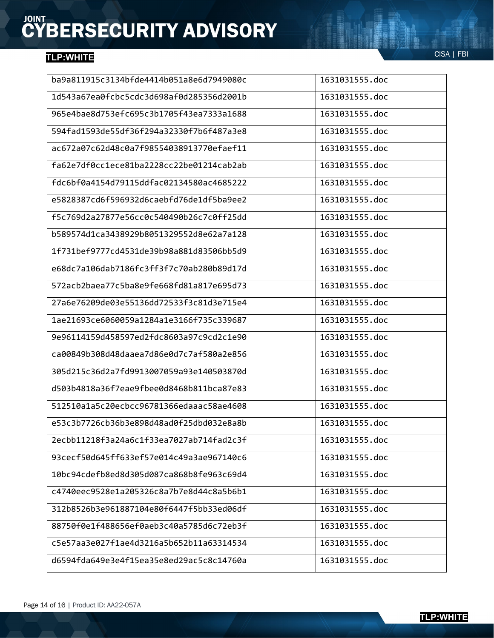| ba9a811915c3134bfde4414b051a8e6d7949080c | 1631031555.doc |
|------------------------------------------|----------------|
| 1d543a67ea0fcbc5cdc3d698af0d285356d2001b | 1631031555.doc |
| 965e4bae8d753efc695c3b1705f43ea7333a1688 | 1631031555.doc |
| 594fad1593de55df36f294a32330f7b6f487a3e8 | 1631031555.doc |
| ac672a07c62d48c0a7f98554038913770efaef11 | 1631031555.doc |
| fa62e7df0cc1ece81ba2228cc22be01214cab2ab | 1631031555.doc |
| fdc6bf0a4154d79115ddfac02134580ac4685222 | 1631031555.doc |
| e5828387cd6f596932d6caebfd76de1df5ba9ee2 | 1631031555.doc |
| f5c769d2a27877e56cc0c540490b26c7c0ff25dd | 1631031555.doc |
| b589574d1ca3438929b8051329552d8e62a7a128 | 1631031555.doc |
| 1f731bef9777cd4531de39b98a881d83506bb5d9 | 1631031555.doc |
| e68dc7a106dab7186fc3ff3f7c70ab280b89d17d | 1631031555.doc |
| 572acb2baea77c5ba8e9fe668fd81a817e695d73 | 1631031555.doc |
| 27a6e76209de03e55136dd72533f3c81d3e715e4 | 1631031555.doc |
| 1ae21693ce6060059a1284a1e3166f735c339687 | 1631031555.doc |
| 9e96114159d458597ed2fdc8603a97c9cd2c1e90 | 1631031555.doc |
| ca00849b308d48daaea7d86e0d7c7af580a2e856 | 1631031555.doc |
| 305d215c36d2a7fd9913007059a93e140503870d | 1631031555.doc |
| d503b4818a36f7eae9fbee0d8468b811bca87e83 | 1631031555.doc |
| 512510a1a5c20ecbcc96781366edaaac58ae4608 | 1631031555.doc |
| e53c3b7726cb36b3e898d48ad0f25dbd032e8a8b | 1631031555.doc |
| 2ecbb11218f3a24a6c1f33ea7027ab714fad2c3f | 1631031555.doc |
| 93cecf50d645ff633ef57e014c49a3ae967140c6 | 1631031555.doc |
| 10bc94cdefb8ed8d305d087ca868b8fe963c69d4 | 1631031555.doc |
| c4740eec9528e1a205326c8a7b7e8d44c8a5b6b1 | 1631031555.doc |
| 312b8526b3e961887104e80f6447f5bb33ed06df | 1631031555.doc |
| 88750f0e1f488656ef0aeb3c40a5785d6c72eb3f | 1631031555.doc |
| c5e57aa3e027f1ae4d3216a5b652b11a63314534 | 1631031555.doc |
| d6594fda649e3e4f15ea35e8ed29ac5c8c14760a | 1631031555.doc |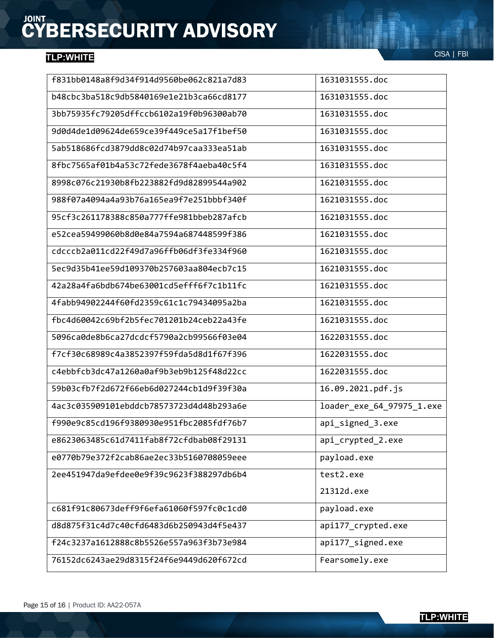| f831bb0148a8f9d34f914d9560be062c821a7d83 | 1631031555.doc            |
|------------------------------------------|---------------------------|
| b48cbc3ba518c9db5840169e1e21b3ca66cd8177 | 1631031555.doc            |
| 3bb75935fc79205dffccb6102a19f0b96300ab70 | 1631031555.doc            |
| 9d0d4de1d09624de659ce39f449ce5a17f1bef50 | 1631031555.doc            |
| 5ab518686fcd3879dd8c02d74b97caa333ea51ab | 1631031555.doc            |
| 8fbc7565af01b4a53c72fede3678f4aeba40c5f4 | 1631031555.doc            |
| 8998c076c21930b8fb223882fd9d82899544a902 | 1621031555.doc            |
| 988f07a4094a4a93b76a165ea9f7e251bbbf340f | 1621031555.doc            |
| 95cf3c261178388c850a777ffe981bbeb287afcb | 1621031555.doc            |
| e52cea59499060b8d0e84a7594a687448599f386 | 1621031555.doc            |
| cdcccb2a011cd22f49d7a96ffb06df3fe334f960 | 1621031555.doc            |
| 5ec9d35b41ee59d109370b257603aa804ecb7c15 | 1621031555.doc            |
| 42a28a4fa6bdb674be63001cd5efff6f7c1b11fc | 1621031555.doc            |
| 4fabb94902244f60fd2359c61c1c79434095a2ba | 1621031555.doc            |
| fbc4d60042c69bf2b5fec701201b24ceb22a43fe | 1621031555.doc            |
| 5096ca0de8b6ca27dcdcf5790a2cb99566f03e04 | 1622031555.doc            |
| f7cf30c68989c4a3852397f59fda5d8d1f67f396 | 1622031555.doc            |
| c4ebbfcb3dc47a1260a0af9b3eb9b125f48d22cc | 1622031555.doc            |
| 59b03cfb7f2d672f66eb6d027244cb1d9f39f30a | 16.09.2021.pdf.js         |
| 4ac3c035909101ebddcb78573723d4d48b293a6e | loader_exe_64_97975_1.exe |
| f990e9c85cd196f9380930e951fbc2085fdf76b7 | api_signed_3.exe          |
| e8623063485c61d7411fab8f72cfdbab08f29131 | api_crypted_2.exe         |
| e0770b79e372f2cab86ae2ec33b5160708059eee | payload.exe               |
| 2ee451947da9efdee0e9f39c9623f388297db6b4 | test2.exe                 |
|                                          | 21312d.exe                |
| c681f91c80673deff9f6efa61060f597fc0c1cd0 | payload.exe               |
| d8d875f31c4d7c40cfd6483d6b250943d4f5e437 | api177_crypted.exe        |
| f24c3237a1612888c8b5526e557a963f3b73e984 | api177_signed.exe         |
| 76152dc6243ae29d8315f24f6e9449d620f672cd | Fearsomely.exe            |